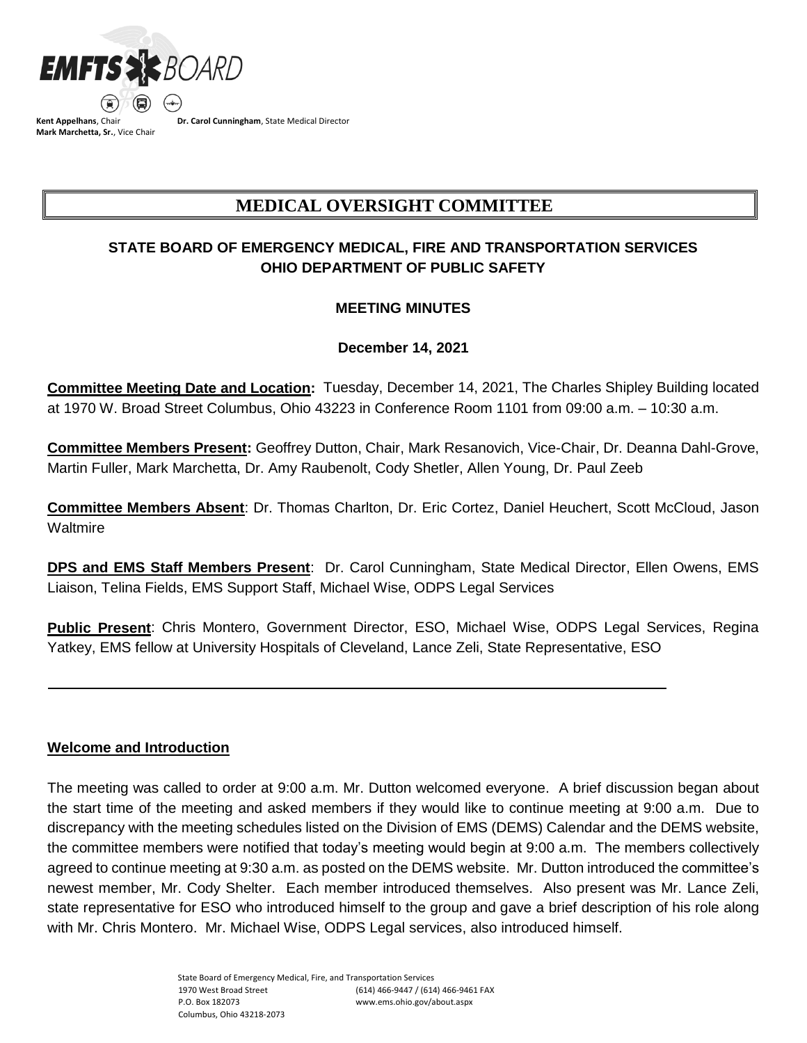

**Kent Appelhans**, Chair **Mark Marchetta, Sr.**, Vice Chair **Dr. Carol Cunningham**, State Medical Director

# **MEDICAL OVERSIGHT COMMITTEE**

# **STATE BOARD OF EMERGENCY MEDICAL, FIRE AND TRANSPORTATION SERVICES OHIO DEPARTMENT OF PUBLIC SAFETY**

### **MEETING MINUTES**

# **December 14, 2021**

**Committee Meeting Date and Location:** Tuesday, December 14, 2021, The Charles Shipley Building located at 1970 W. Broad Street Columbus, Ohio 43223 in Conference Room 1101 from 09:00 a.m. – 10:30 a.m.

**Committee Members Present:** Geoffrey Dutton, Chair, Mark Resanovich, Vice-Chair, Dr. Deanna Dahl-Grove, Martin Fuller, Mark Marchetta, Dr. Amy Raubenolt, Cody Shetler, Allen Young, Dr. Paul Zeeb

**Committee Members Absent**: Dr. Thomas Charlton, Dr. Eric Cortez, Daniel Heuchert, Scott McCloud, Jason **Waltmire** 

**DPS and EMS Staff Members Present**: Dr. Carol Cunningham, State Medical Director, Ellen Owens, EMS Liaison, Telina Fields, EMS Support Staff, Michael Wise, ODPS Legal Services

**Public Present**: Chris Montero, Government Director, ESO, Michael Wise, ODPS Legal Services, Regina Yatkey, EMS fellow at University Hospitals of Cleveland, Lance Zeli, State Representative, ESO

### **Welcome and Introduction**

The meeting was called to order at 9:00 a.m. Mr. Dutton welcomed everyone. A brief discussion began about the start time of the meeting and asked members if they would like to continue meeting at 9:00 a.m. Due to discrepancy with the meeting schedules listed on the Division of EMS (DEMS) Calendar and the DEMS website, the committee members were notified that today's meeting would begin at 9:00 a.m. The members collectively agreed to continue meeting at 9:30 a.m. as posted on the DEMS website. Mr. Dutton introduced the committee's newest member, Mr. Cody Shelter. Each member introduced themselves. Also present was Mr. Lance Zeli, state representative for ESO who introduced himself to the group and gave a brief description of his role along with Mr. Chris Montero. Mr. Michael Wise, ODPS Legal services, also introduced himself.

> State Board of Emergency Medical, Fire, and Transportation Services 1970 West Broad Street P.O. Box 182073 Columbus, Ohio 43218-2073 (614) 466-9447 / (614) 466-9461 FAX www.ems.ohio.gov/about.aspx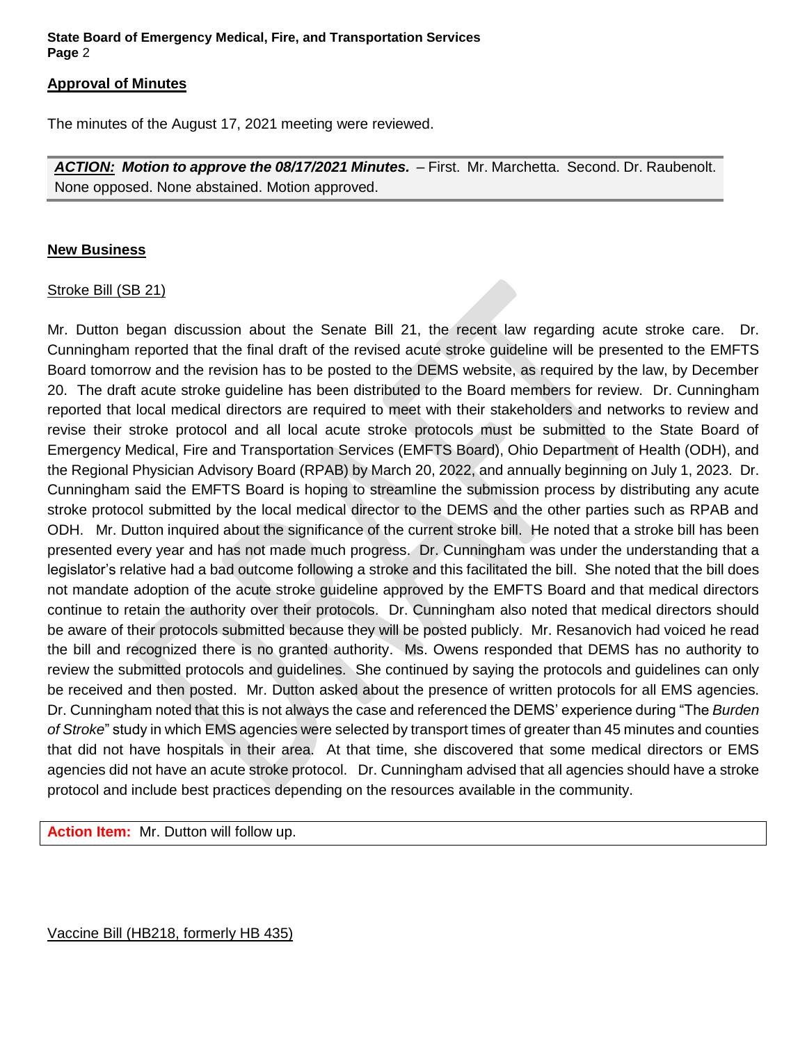### **State Board of Emergency Medical, Fire, and Transportation Services Page** 2

#### **Approval of Minutes**

The minutes of the August 17, 2021 meeting were reviewed.

ACTION: Motion to approve the 08/17/2021 Minutes. - First. Mr. Marchetta. Second. Dr. Raubenolt. None opposed. None abstained. Motion approved.

### **New Business**

### Stroke Bill (SB 21)

Mr. Dutton began discussion about the Senate Bill 21, the recent law regarding acute stroke care. Dr. Cunningham reported that the final draft of the revised acute stroke guideline will be presented to the EMFTS Board tomorrow and the revision has to be posted to the DEMS website, as required by the law, by December 20. The draft acute stroke guideline has been distributed to the Board members for review. Dr. Cunningham reported that local medical directors are required to meet with their stakeholders and networks to review and revise their stroke protocol and all local acute stroke protocols must be submitted to the State Board of Emergency Medical, Fire and Transportation Services (EMFTS Board), Ohio Department of Health (ODH), and the Regional Physician Advisory Board (RPAB) by March 20, 2022, and annually beginning on July 1, 2023. Dr. Cunningham said the EMFTS Board is hoping to streamline the submission process by distributing any acute stroke protocol submitted by the local medical director to the DEMS and the other parties such as RPAB and ODH. Mr. Dutton inquired about the significance of the current stroke bill. He noted that a stroke bill has been presented every year and has not made much progress. Dr. Cunningham was under the understanding that a legislator's relative had a bad outcome following a stroke and this facilitated the bill. She noted that the bill does not mandate adoption of the acute stroke guideline approved by the EMFTS Board and that medical directors continue to retain the authority over their protocols. Dr. Cunningham also noted that medical directors should be aware of their protocols submitted because they will be posted publicly. Mr. Resanovich had voiced he read the bill and recognized there is no granted authority. Ms. Owens responded that DEMS has no authority to review the submitted protocols and guidelines. She continued by saying the protocols and guidelines can only be received and then posted. Mr. Dutton asked about the presence of written protocols for all EMS agencies. Dr. Cunningham noted that this is not always the case and referenced the DEMS' experience during "The *Burden of Stroke*" study in which EMS agencies were selected by transport times of greater than 45 minutes and counties that did not have hospitals in their area. At that time, she discovered that some medical directors or EMS agencies did not have an acute stroke protocol. Dr. Cunningham advised that all agencies should have a stroke protocol and include best practices depending on the resources available in the community.

**Action Item:** Mr. Dutton will follow up.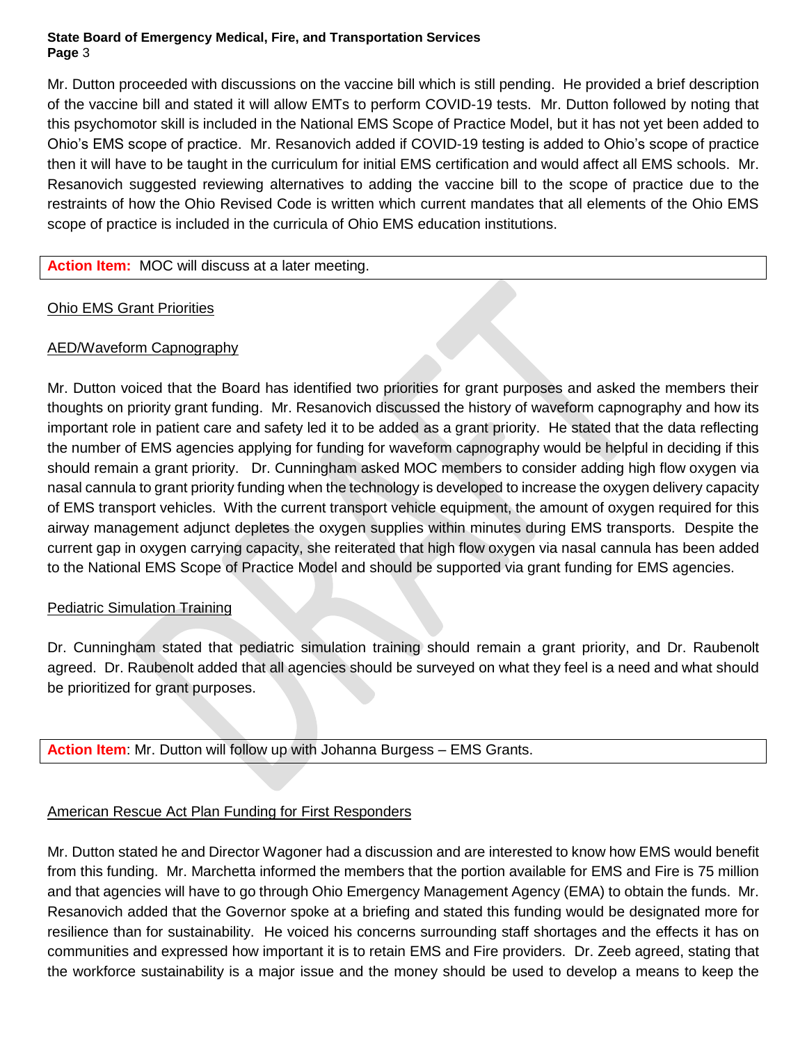### **State Board of Emergency Medical, Fire, and Transportation Services Page** 3

Mr. Dutton proceeded with discussions on the vaccine bill which is still pending. He provided a brief description of the vaccine bill and stated it will allow EMTs to perform COVID-19 tests. Mr. Dutton followed by noting that this psychomotor skill is included in the National EMS Scope of Practice Model, but it has not yet been added to Ohio's EMS scope of practice. Mr. Resanovich added if COVID-19 testing is added to Ohio's scope of practice then it will have to be taught in the curriculum for initial EMS certification and would affect all EMS schools. Mr. Resanovich suggested reviewing alternatives to adding the vaccine bill to the scope of practice due to the restraints of how the Ohio Revised Code is written which current mandates that all elements of the Ohio EMS scope of practice is included in the curricula of Ohio EMS education institutions.

### **Action Item:** MOC will discuss at a later meeting.

# Ohio EMS Grant Priorities

### AED/Waveform Capnography

Mr. Dutton voiced that the Board has identified two priorities for grant purposes and asked the members their thoughts on priority grant funding. Mr. Resanovich discussed the history of waveform capnography and how its important role in patient care and safety led it to be added as a grant priority. He stated that the data reflecting the number of EMS agencies applying for funding for waveform capnography would be helpful in deciding if this should remain a grant priority. Dr. Cunningham asked MOC members to consider adding high flow oxygen via nasal cannula to grant priority funding when the technology is developed to increase the oxygen delivery capacity of EMS transport vehicles. With the current transport vehicle equipment, the amount of oxygen required for this airway management adjunct depletes the oxygen supplies within minutes during EMS transports. Despite the current gap in oxygen carrying capacity, she reiterated that high flow oxygen via nasal cannula has been added to the National EMS Scope of Practice Model and should be supported via grant funding for EMS agencies.

### **Pediatric Simulation Training**

Dr. Cunningham stated that pediatric simulation training should remain a grant priority, and Dr. Raubenolt agreed. Dr. Raubenolt added that all agencies should be surveyed on what they feel is a need and what should be prioritized for grant purposes.

**Action Item**: Mr. Dutton will follow up with Johanna Burgess – EMS Grants.

# American Rescue Act Plan Funding for First Responders

Mr. Dutton stated he and Director Wagoner had a discussion and are interested to know how EMS would benefit from this funding. Mr. Marchetta informed the members that the portion available for EMS and Fire is 75 million and that agencies will have to go through Ohio Emergency Management Agency (EMA) to obtain the funds. Mr. Resanovich added that the Governor spoke at a briefing and stated this funding would be designated more for resilience than for sustainability. He voiced his concerns surrounding staff shortages and the effects it has on communities and expressed how important it is to retain EMS and Fire providers. Dr. Zeeb agreed, stating that the workforce sustainability is a major issue and the money should be used to develop a means to keep the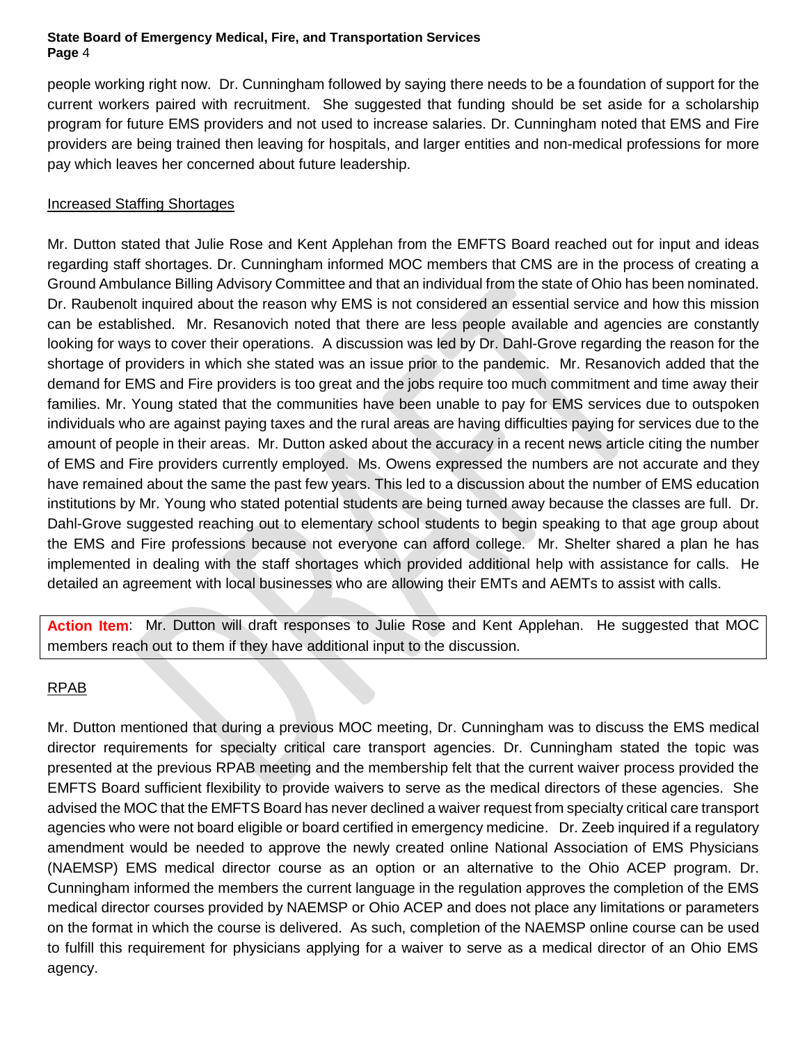### **State Board of Emergency Medical, Fire, and Transportation Services Page** 4

people working right now. Dr. Cunningham followed by saying there needs to be a foundation of support for the current workers paired with recruitment. She suggested that funding should be set aside for a scholarship program for future EMS providers and not used to increase salaries. Dr. Cunningham noted that EMS and Fire providers are being trained then leaving for hospitals, and larger entities and non-medical professions for more pay which leaves her concerned about future leadership.

### Increased Staffing Shortages

Mr. Dutton stated that Julie Rose and Kent Applehan from the EMFTS Board reached out for input and ideas regarding staff shortages. Dr. Cunningham informed MOC members that CMS are in the process of creating a Ground Ambulance Billing Advisory Committee and that an individual from the state of Ohio has been nominated. Dr. Raubenolt inquired about the reason why EMS is not considered an essential service and how this mission can be established. Mr. Resanovich noted that there are less people available and agencies are constantly looking for ways to cover their operations. A discussion was led by Dr. Dahl-Grove regarding the reason for the shortage of providers in which she stated was an issue prior to the pandemic. Mr. Resanovich added that the demand for EMS and Fire providers is too great and the jobs require too much commitment and time away their families. Mr. Young stated that the communities have been unable to pay for EMS services due to outspoken individuals who are against paying taxes and the rural areas are having difficulties paying for services due to the amount of people in their areas. Mr. Dutton asked about the accuracy in a recent news article citing the number of EMS and Fire providers currently employed. Ms. Owens expressed the numbers are not accurate and they have remained about the same the past few years. This led to a discussion about the number of EMS education institutions by Mr. Young who stated potential students are being turned away because the classes are full. Dr. Dahl-Grove suggested reaching out to elementary school students to begin speaking to that age group about the EMS and Fire professions because not everyone can afford college. Mr. Shelter shared a plan he has implemented in dealing with the staff shortages which provided additional help with assistance for calls. He detailed an agreement with local businesses who are allowing their EMTs and AEMTs to assist with calls.

**Action Item**: Mr. Dutton will draft responses to Julie Rose and Kent Applehan. He suggested that MOC members reach out to them if they have additional input to the discussion.

# RPAB

Mr. Dutton mentioned that during a previous MOC meeting, Dr. Cunningham was to discuss the EMS medical director requirements for specialty critical care transport agencies. Dr. Cunningham stated the topic was presented at the previous RPAB meeting and the membership felt that the current waiver process provided the EMFTS Board sufficient flexibility to provide waivers to serve as the medical directors of these agencies. She advised the MOC that the EMFTS Board has never declined a waiver request from specialty critical care transport agencies who were not board eligible or board certified in emergency medicine. Dr. Zeeb inquired if a regulatory amendment would be needed to approve the newly created online National Association of EMS Physicians (NAEMSP) EMS medical director course as an option or an alternative to the Ohio ACEP program. Dr. Cunningham informed the members the current language in the regulation approves the completion of the EMS medical director courses provided by NAEMSP or Ohio ACEP and does not place any limitations or parameters on the format in which the course is delivered. As such, completion of the NAEMSP online course can be used to fulfill this requirement for physicians applying for a waiver to serve as a medical director of an Ohio EMS agency.